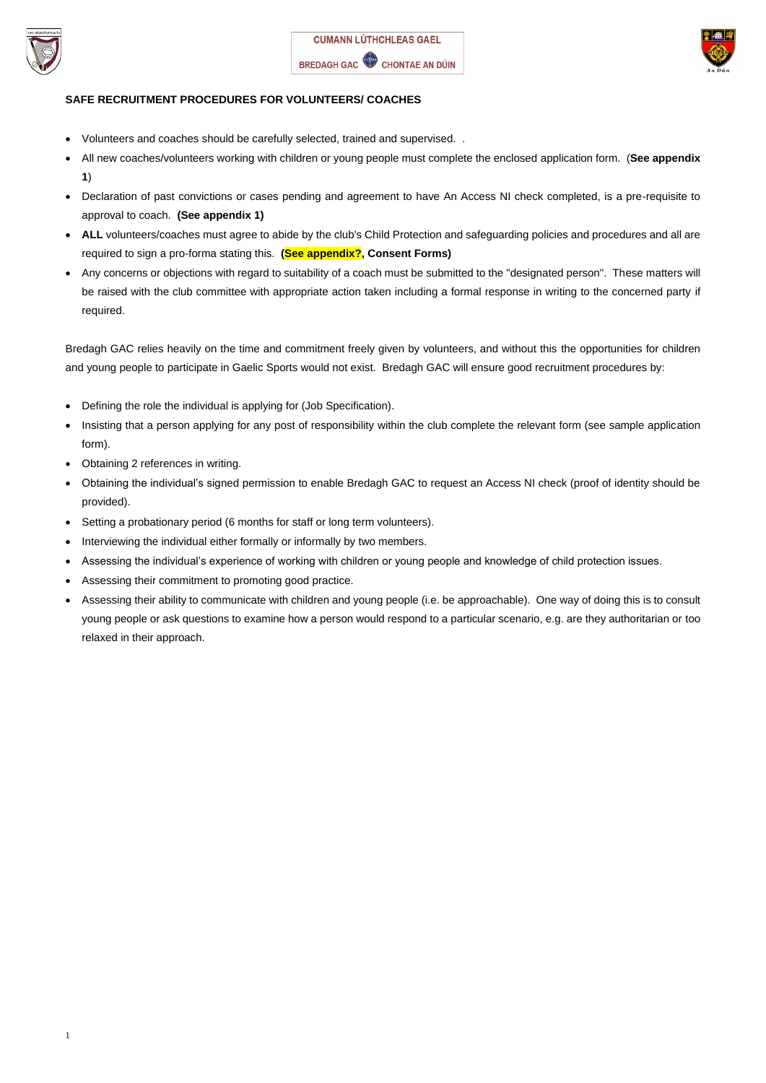



# **SAFE RECRUITMENT PROCEDURES FOR VOLUNTEERS/ COACHES**

- Volunteers and coaches should be carefully selected, trained and supervised. .
- All new coaches/volunteers working with children or young people must complete the enclosed application form. (**See appendix 1**)
- Declaration of past convictions or cases pending and agreement to have An Access NI check completed, is a pre-requisite to approval to coach. **(See appendix 1)**
- ALL volunteers/coaches must agree to abide by the club's Child Protection and safeguarding policies and procedures and all are required to sign a pro-forma stating this. **(See appendix?, Consent Forms)**
- Any concerns or objections with regard to suitability of a coach must be submitted to the "designated person". These matters will be raised with the club committee with appropriate action taken including a formal response in writing to the concerned party if required.

Bredagh GAC relies heavily on the time and commitment freely given by volunteers, and without this the opportunities for children and young people to participate in Gaelic Sports would not exist. Bredagh GAC will ensure good recruitment procedures by:

- Defining the role the individual is applying for (Job Specification).
- Insisting that a person applying for any post of responsibility within the club complete the relevant form (see sample application form).
- Obtaining 2 references in writing.
- Obtaining the individual's signed permission to enable Bredagh GAC to request an Access NI check (proof of identity should be provided).
- Setting a probationary period (6 months for staff or long term volunteers).
- Interviewing the individual either formally or informally by two members.
- Assessing the individual's experience of working with children or young people and knowledge of child protection issues.
- Assessing their commitment to promoting good practice.
- Assessing their ability to communicate with children and young people (i.e. be approachable). One way of doing this is to consult young people or ask questions to examine how a person would respond to a particular scenario, e.g. are they authoritarian or too relaxed in their approach.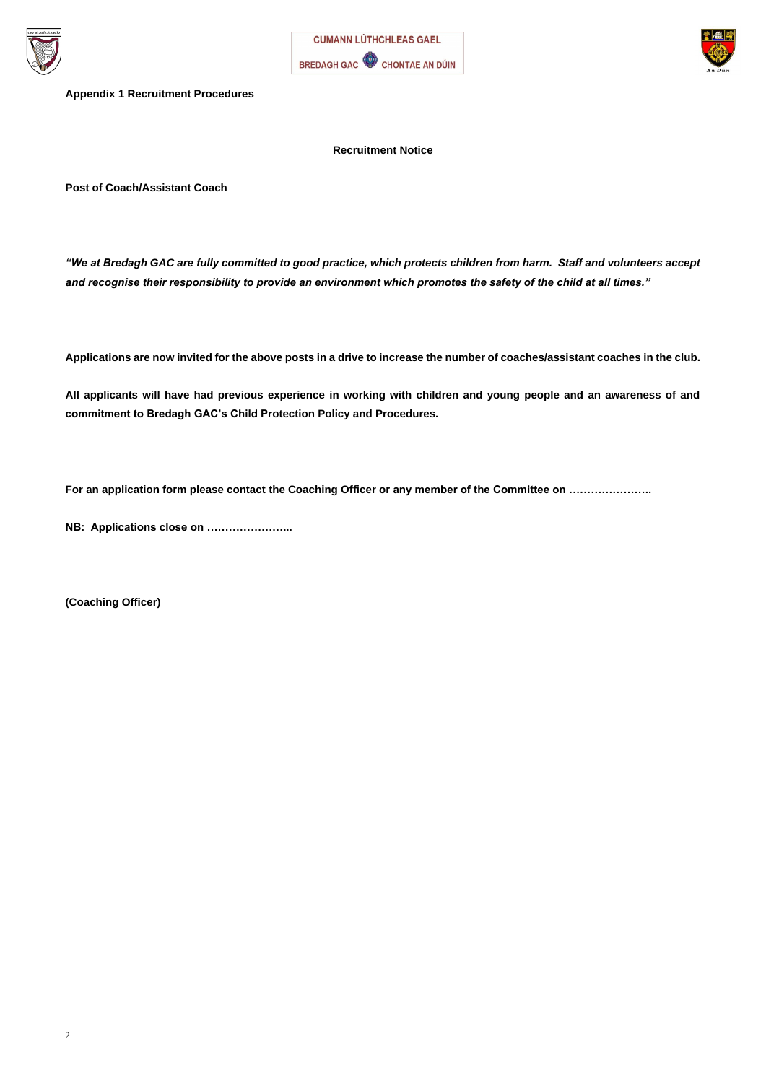





**Appendix 1 Recruitment Procedures**

**Recruitment Notice**

**Post of Coach/Assistant Coach**

*"We at Bredagh GAC are fully committed to good practice, which protects children from harm. Staff and volunteers accept and recognise their responsibility to provide an environment which promotes the safety of the child at all times."*

**Applications are now invited for the above posts in a drive to increase the number of coaches/assistant coaches in the club.**

**All applicants will have had previous experience in working with children and young people and an awareness of and commitment to Bredagh GAC's Child Protection Policy and Procedures.**

**For an application form please contact the Coaching Officer or any member of the Committee on …………………..**

**NB: Applications close on …………………...**

**(Coaching Officer)**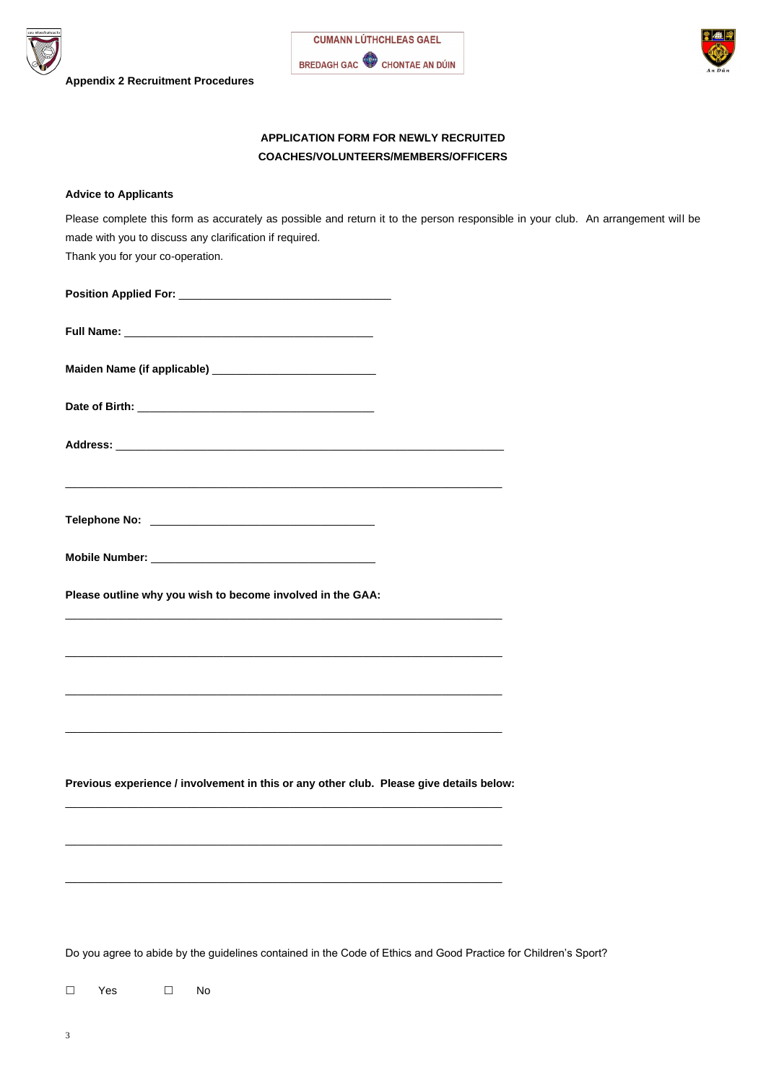





# **APPLICATION FORM FOR NEWLY RECRUITED COACHES/VOLUNTEERS/MEMBERS/OFFICERS**

### **Advice to Applicants**

| Please complete this form as accurately as possible and return it to the person responsible in your club. An arrangement will be |  |
|----------------------------------------------------------------------------------------------------------------------------------|--|
| made with you to discuss any clarification if required.                                                                          |  |
| Thank you for your co-operation.                                                                                                 |  |

**Position Applied For:** \_\_\_\_\_\_\_\_\_\_\_\_\_\_\_\_\_\_\_\_\_\_\_\_\_\_\_\_\_\_\_\_\_\_\_

| <b>Maiden Name (if applicable)</b> |  |
|------------------------------------|--|
|------------------------------------|--|

**Date of Birth:** \_\_\_\_\_\_\_\_\_\_\_\_\_\_\_\_\_\_\_\_\_\_\_\_\_\_\_\_\_\_\_\_\_\_\_\_\_\_\_

| <b>Address:</b> |  |  |
|-----------------|--|--|
|                 |  |  |

\_\_\_\_\_\_\_\_\_\_\_\_\_\_\_\_\_\_\_\_\_\_\_\_\_\_\_\_\_\_\_\_\_\_\_\_\_\_\_\_\_\_\_\_\_\_\_\_\_\_\_\_\_\_\_\_\_\_\_\_\_\_\_\_\_\_\_\_\_\_\_\_

| <b>Telephone No:</b> |  |  |
|----------------------|--|--|

**Mobile Number:** \_\_\_\_\_\_\_\_\_\_\_\_\_\_\_\_\_\_\_\_\_\_\_\_\_\_\_\_\_\_\_\_\_\_\_\_\_

**Please outline why you wish to become involved in the GAA:**

\_\_\_\_\_\_\_\_\_\_\_\_\_\_\_\_\_\_\_\_\_\_\_\_\_\_\_\_\_\_\_\_\_\_\_\_\_\_\_\_\_\_\_\_\_\_\_\_\_\_\_\_\_\_\_\_\_\_\_\_\_\_\_\_\_\_\_\_\_\_\_\_

\_\_\_\_\_\_\_\_\_\_\_\_\_\_\_\_\_\_\_\_\_\_\_\_\_\_\_\_\_\_\_\_\_\_\_\_\_\_\_\_\_\_\_\_\_\_\_\_\_\_\_\_\_\_\_\_\_\_\_\_\_\_\_\_\_\_\_\_\_\_\_\_

\_\_\_\_\_\_\_\_\_\_\_\_\_\_\_\_\_\_\_\_\_\_\_\_\_\_\_\_\_\_\_\_\_\_\_\_\_\_\_\_\_\_\_\_\_\_\_\_\_\_\_\_\_\_\_\_\_\_\_\_\_\_\_\_\_\_\_\_\_\_\_\_

\_\_\_\_\_\_\_\_\_\_\_\_\_\_\_\_\_\_\_\_\_\_\_\_\_\_\_\_\_\_\_\_\_\_\_\_\_\_\_\_\_\_\_\_\_\_\_\_\_\_\_\_\_\_\_\_\_\_\_\_\_\_\_\_\_\_\_\_\_\_\_\_

**Previous experience / involvement in this or any other club. Please give details below:**

\_\_\_\_\_\_\_\_\_\_\_\_\_\_\_\_\_\_\_\_\_\_\_\_\_\_\_\_\_\_\_\_\_\_\_\_\_\_\_\_\_\_\_\_\_\_\_\_\_\_\_\_\_\_\_\_\_\_\_\_\_\_\_\_\_\_\_\_\_\_\_\_

\_\_\_\_\_\_\_\_\_\_\_\_\_\_\_\_\_\_\_\_\_\_\_\_\_\_\_\_\_\_\_\_\_\_\_\_\_\_\_\_\_\_\_\_\_\_\_\_\_\_\_\_\_\_\_\_\_\_\_\_\_\_\_\_\_\_\_\_\_\_\_\_

\_\_\_\_\_\_\_\_\_\_\_\_\_\_\_\_\_\_\_\_\_\_\_\_\_\_\_\_\_\_\_\_\_\_\_\_\_\_\_\_\_\_\_\_\_\_\_\_\_\_\_\_\_\_\_\_\_\_\_\_\_\_\_\_\_\_\_\_\_\_\_\_

Do you agree to abide by the guidelines contained in the Code of Ethics and Good Practice for Children's Sport?

□ Yes □ No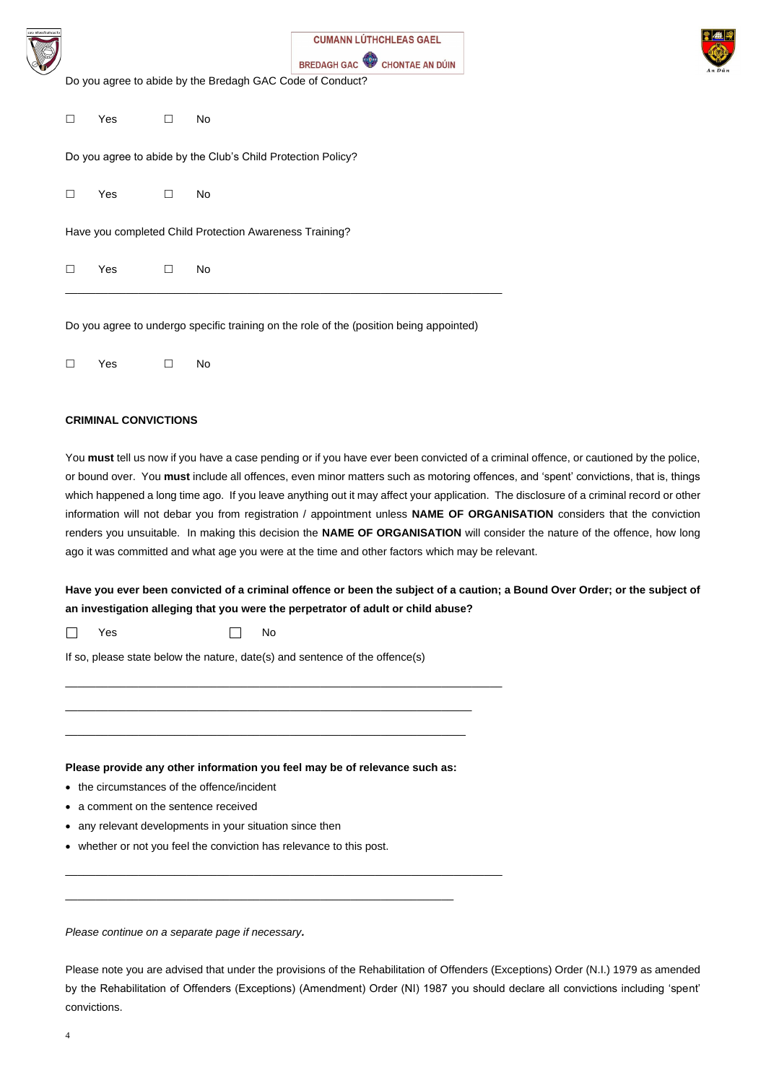| n Bhréadach |
|-------------|
|             |
|             |
|             |
|             |
|             |
|             |

| <b>CUMANN LÚTHCHLEAS GAEL</b> |
|-------------------------------|
| BREDAGH GAC CHONTAE AN DÚIN   |



Do you agree to abide by the Bredagh GAC Code of Conduct?

 $\square$  Yes  $\square$  No

Do you agree to abide by the Club's Child Protection Policy?

 $\square$  Yes  $\square$  No

Have you completed Child Protection Awareness Training?

 $\square$  Yes  $\square$  No

\_\_\_\_\_\_\_\_\_\_\_\_\_\_\_\_\_\_\_\_\_\_\_\_\_\_\_\_\_\_\_\_\_\_\_\_\_\_\_\_\_\_\_\_\_\_\_\_\_\_\_\_\_\_\_\_\_\_\_\_\_\_\_\_\_\_\_\_\_\_\_\_

 $\square$  Yes  $\square$  No

Do you agree to undergo specific training on the role of the (position being appointed)

#### **CRIMINAL CONVICTIONS**

You **must** tell us now if you have a case pending or if you have ever been convicted of a criminal offence, or cautioned by the police, or bound over. You **must** include all offences, even minor matters such as motoring offences, and 'spent' convictions, that is, things which happened a long time ago. If you leave anything out it may affect your application. The disclosure of a criminal record or other information will not debar you from registration / appointment unless **NAME OF ORGANISATION** considers that the conviction renders you unsuitable. In making this decision the **NAME OF ORGANISATION** will consider the nature of the offence, how long ago it was committed and what age you were at the time and other factors which may be relevant.

**Have you ever been convicted of a criminal offence or been the subject of a caution; a Bound Over Order; or the subject of an investigation alleging that you were the perpetrator of adult or child abuse?**

 $\mathbf{1}$ Yes No

If so, please state below the nature, date(s) and sentence of the offence(s)

\_\_\_\_\_\_\_\_\_\_\_\_\_\_\_\_\_\_\_\_\_\_\_\_\_\_\_\_\_\_\_\_\_\_\_\_\_\_\_\_\_\_\_\_\_\_\_\_\_\_\_\_\_\_\_\_\_\_\_\_\_\_\_\_\_\_\_\_\_\_\_\_

\_\_\_\_\_\_\_\_\_\_\_\_\_\_\_\_\_\_\_\_\_\_\_\_\_\_\_\_\_\_\_\_\_\_\_\_\_\_\_\_\_\_\_\_\_\_\_\_\_\_\_\_\_\_\_\_\_\_\_\_\_\_\_\_\_\_\_

\_\_\_\_\_\_\_\_\_\_\_\_\_\_\_\_\_\_\_\_\_\_\_\_\_\_\_\_\_\_\_\_\_\_\_\_\_\_\_\_\_\_\_\_\_\_\_\_\_\_\_\_\_\_\_\_\_\_\_\_\_\_\_\_\_\_

#### **Please provide any other information you feel may be of relevance such as:**

- the circumstances of the offence/incident
- a comment on the sentence received
- any relevant developments in your situation since then
- whether or not you feel the conviction has relevance to this post.

\_\_\_\_\_\_\_\_\_\_\_\_\_\_\_\_\_\_\_\_\_\_\_\_\_\_\_\_\_\_\_\_\_\_\_\_\_\_\_\_\_\_\_\_\_\_\_\_\_\_\_\_\_\_\_\_\_\_\_\_\_\_\_\_\_\_\_\_\_\_\_\_

\_\_\_\_\_\_\_\_\_\_\_\_\_\_\_\_\_\_\_\_\_\_\_\_\_\_\_\_\_\_\_\_\_\_\_\_\_\_\_\_\_\_\_\_\_\_\_\_\_\_\_\_\_\_\_\_\_\_\_\_\_\_\_\_

*Please continue on a separate page if necessary.* 

Please note you are advised that under the provisions of the Rehabilitation of Offenders (Exceptions) Order (N.I.) 1979 as amended by the Rehabilitation of Offenders (Exceptions) (Amendment) Order (NI) 1987 you should declare all convictions including 'spent' convictions.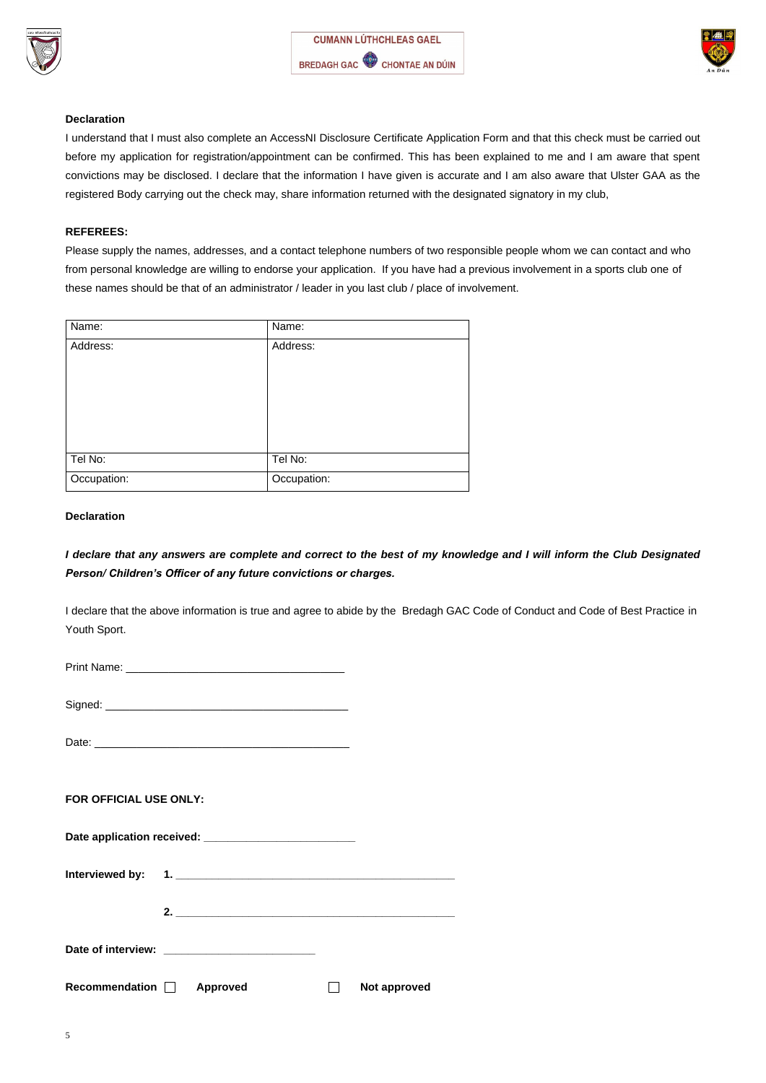





#### **Declaration**

I understand that I must also complete an AccessNI Disclosure Certificate Application Form and that this check must be carried out before my application for registration/appointment can be confirmed. This has been explained to me and I am aware that spent convictions may be disclosed. I declare that the information I have given is accurate and I am also aware that Ulster GAA as the registered Body carrying out the check may, share information returned with the designated signatory in my club,

# **REFEREES:**

Please supply the names, addresses, and a contact telephone numbers of two responsible people whom we can contact and who from personal knowledge are willing to endorse your application. If you have had a previous involvement in a sports club one of these names should be that of an administrator / leader in you last club / place of involvement.

| Name:       | Name:       |
|-------------|-------------|
| Address:    | Address:    |
| Tel No:     | Tel No:     |
| Occupation: | Occupation: |

## **Declaration**

*I declare that any answers are complete and correct to the best of my knowledge and I will inform the Club Designated Person/ Children's Officer of any future convictions or charges.*

I declare that the above information is true and agree to abide by the Bredagh GAC Code of Conduct and Code of Best Practice in Youth Sport.

Print Name: \_\_\_\_\_\_\_\_\_\_\_\_\_\_\_\_\_\_\_\_\_\_\_\_\_\_\_\_\_\_\_\_\_\_\_\_

Signed: \_\_\_\_\_\_\_\_\_\_\_\_\_\_\_\_\_\_\_\_\_\_\_\_\_\_\_\_\_\_\_\_\_\_\_\_\_\_\_\_

Date: \_\_\_\_\_\_\_\_\_\_\_\_\_\_\_\_\_\_\_\_\_\_\_\_\_\_\_\_\_\_\_\_\_\_\_\_\_\_\_\_\_\_

**FOR OFFICIAL USE ONLY:**

**Interviewed by: 1. \_\_\_\_\_\_\_\_\_\_\_\_\_\_\_\_\_\_\_\_\_\_\_\_\_\_\_\_\_\_\_\_\_\_\_\_\_\_\_\_\_\_\_\_\_\_**

**2. \_\_\_\_\_\_\_\_\_\_\_\_\_\_\_\_\_\_\_\_\_\_\_\_\_\_\_\_\_\_\_\_\_\_\_\_\_\_\_\_\_\_\_\_\_\_**

**Date of interview: \_\_\_\_\_\_\_\_\_\_\_\_\_\_\_\_\_\_\_\_\_\_\_\_\_**

Recommendation **Approved Not approved**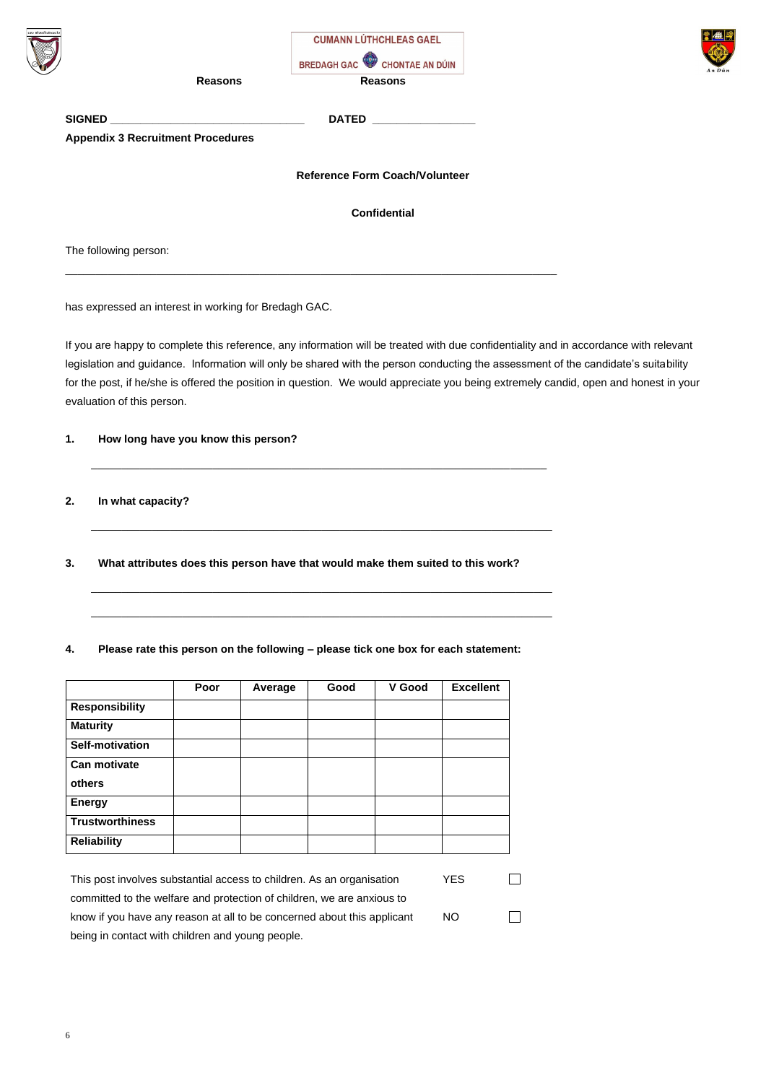| éaoac                 |                                                   | <b>CUMANN LÚTHCHLEAS GAEL</b><br>BREDAGH GAC CHONTAE AN DÚIN |
|-----------------------|---------------------------------------------------|--------------------------------------------------------------|
|                       | <b>Reasons</b>                                    | <b>Reasons</b>                                               |
| <b>SIGNED</b>         | <u> 1989 - Johann Barbara, martxa alemaniar a</u> | <b>DATED</b>                                                 |
|                       | <b>Appendix 3 Recruitment Procedures</b>          |                                                              |
|                       |                                                   | <b>Reference Form Coach/Volunteer</b>                        |
|                       |                                                   | <b>Confidential</b>                                          |
| The following person: |                                                   |                                                              |

\_\_\_\_\_\_\_\_\_\_\_\_\_\_\_\_\_\_\_\_\_\_\_\_\_\_\_\_\_\_\_\_\_\_\_\_\_\_\_\_\_\_\_\_\_\_\_\_\_\_\_\_\_\_\_\_\_\_\_\_\_\_\_\_\_\_\_\_\_\_\_\_\_\_\_\_\_\_\_\_\_

has expressed an interest in working for Bredagh GAC.

If you are happy to complete this reference, any information will be treated with due confidentiality and in accordance with relevant

legislation and guidance. Information will only be shared with the person conducting the assessment of the candidate's suitability

for the post, if he/she is offered the position in question. We would appreciate you being extremely candid, open and honest in your



evaluation of this person.

# **1. How long have you know this person?**

\_\_\_\_\_\_\_\_\_\_\_\_\_\_\_\_\_\_\_\_\_\_\_\_\_\_\_\_\_\_\_\_\_\_\_\_\_\_\_\_\_\_\_\_\_\_\_\_\_\_\_\_\_\_\_\_\_\_\_\_\_\_\_\_\_\_\_\_\_\_\_\_\_\_\_

**2. In what capacity?**

\_\_\_\_\_\_\_\_\_\_\_\_\_\_\_\_\_\_\_\_\_\_\_\_\_\_\_\_\_\_\_\_\_\_\_\_\_\_\_\_\_\_\_\_\_\_\_\_\_\_\_\_\_\_\_\_\_\_\_\_\_\_\_\_\_\_\_\_\_\_\_\_\_\_\_\_

**3. What attributes does this person have that would make them suited to this work?**

\_\_\_\_\_\_\_\_\_\_\_\_\_\_\_\_\_\_\_\_\_\_\_\_\_\_\_\_\_\_\_\_\_\_\_\_\_\_\_\_\_\_\_\_\_\_\_\_\_\_\_\_\_\_\_\_\_\_\_\_\_\_\_\_\_\_\_\_\_\_\_\_\_\_\_\_

\_\_\_\_\_\_\_\_\_\_\_\_\_\_\_\_\_\_\_\_\_\_\_\_\_\_\_\_\_\_\_\_\_\_\_\_\_\_\_\_\_\_\_\_\_\_\_\_\_\_\_\_\_\_\_\_\_\_\_\_\_\_\_\_\_\_\_\_\_\_\_\_\_\_\_\_

**4. Please rate this person on the following – please tick one box for each statement:**

|                        | Poor | Average | Good | V Good | <b>Excellent</b> |
|------------------------|------|---------|------|--------|------------------|
| <b>Responsibility</b>  |      |         |      |        |                  |
| <b>Maturity</b>        |      |         |      |        |                  |
| <b>Self-motivation</b> |      |         |      |        |                  |
| <b>Can motivate</b>    |      |         |      |        |                  |
| others                 |      |         |      |        |                  |
| <b>Energy</b>          |      |         |      |        |                  |
| <b>Trustworthiness</b> |      |         |      |        |                  |
| <b>Reliability</b>     |      |         |      |        |                  |

This post involves substantial access to children. As an organisation YES  $\Box$ committed to the welfare and protection of children, we are anxious to know if you have any reason at all to be concerned about this applicant NO $\mathcal{L}^{\mathcal{A}}$ being in contact with children and young people.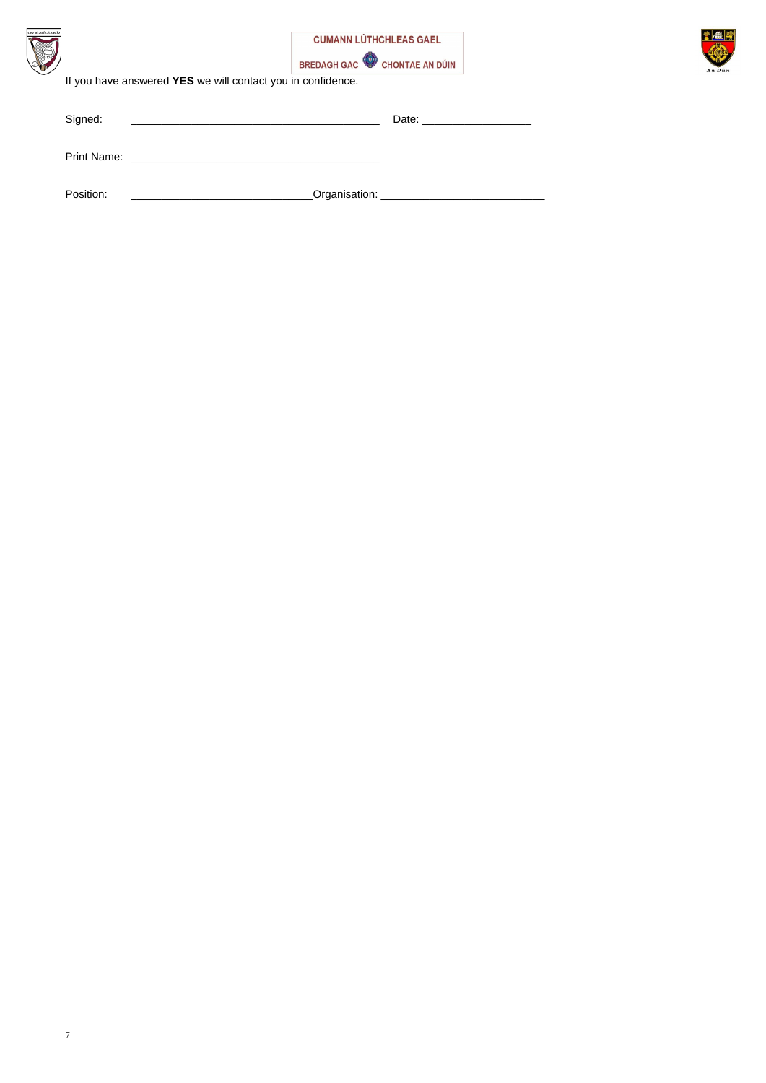





| Signed:   | Date: <u>____________________</u>             |
|-----------|-----------------------------------------------|
|           |                                               |
| Position: | _Organisation: ______________________________ |

If you have answered **YES** we will contact you in confidence.